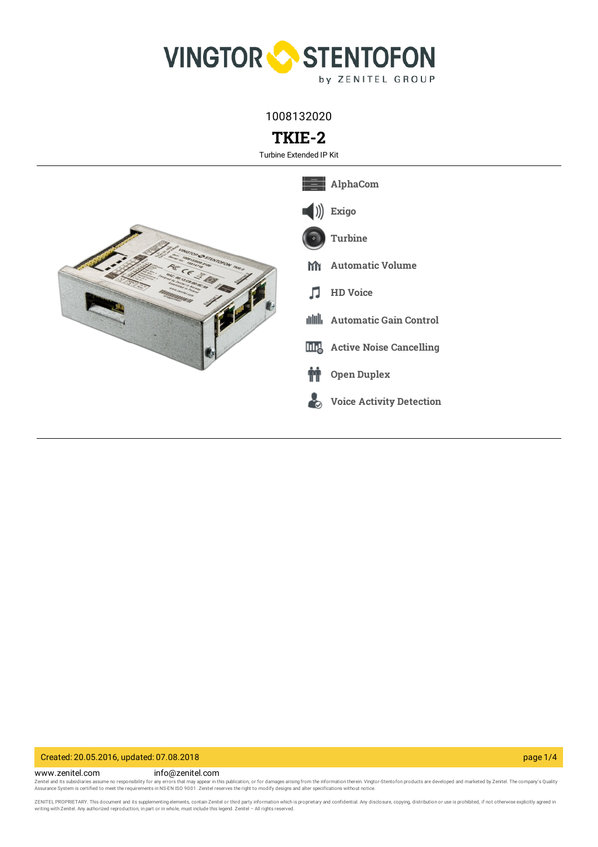

1008132020

# **TKIE-2**

Turbine Extended IP Kit



## Created: 20.05.2016, updated: 07.08.2018 page 1/4

www.zenitel.com info@zenitel.com

Zenitel and its subsidiaries assume no responsibility for any errors that may appear in this publication, or for damages arising from the information therein. Vingtor-Stentofon products are developed and marketed by Zenite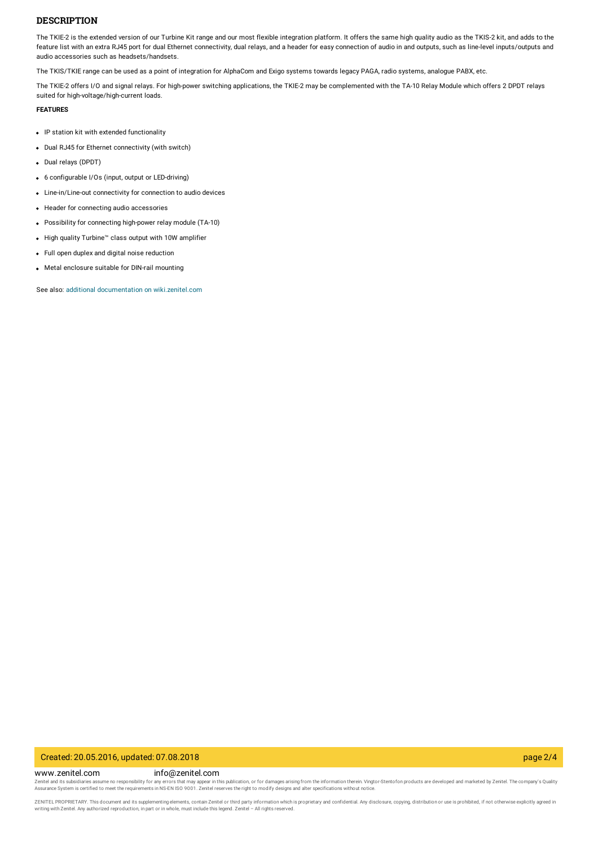### **DESCRIPTION**

The TKIE-2 is the extended version of our Turbine Kit range and our most flexible integration platform. It offers the same high quality audio as the TKIS-2 kit, and adds to the feature list with an extra RJ45 port for dual Ethernet connectivity, dual relays, and a header for easy connection of audio in and outputs, such as line-level inputs/outputs and audio accessories such as headsets/handsets.

The TKIS/TKIE range can be used as a point of integration for AlphaCom and Exigo systems towards legacy PAGA, radio systems, analogue PABX, etc.

The TKIE-2 offers I/O and signal relays. For high-power switching applications, the TKIE-2 may be complemented with the TA-10 Relay Module which offers 2 DPDT relays suited for high-voltage/high-current loads.

### **FEATURES**

- IP station kit with extended functionality
- Dual RJ45 for Ethernet connectivity (with switch)
- Dual relays (DPDT)
- 6 configurable I/Os (input, output or LED-driving)
- Line-in/Line-out connectivity for connection to audio devices
- Header for connecting audio accessories
- Possibility for connecting high-power relay module (TA-10)
- High quality Turbine™ class output with 10W amplifier
- Full open duplex and digital noise reduction
- Metal enclosure suitable for DIN-rail mounting

See also: additional documentation on [wiki.zenitel.com](https://wiki.zenitel.com/wiki/TKIE-2)

### Created: 20.05.2016, updated: 07.08.2018 page 2/4

## www.zenitel.com info@zenitel.com Zenitel and its subsidiaries assume no responsibility for any errors that may appear in this publication, or for damages arising from the information therein. Vingtor-Stentofon products are developed and marketed by Zenite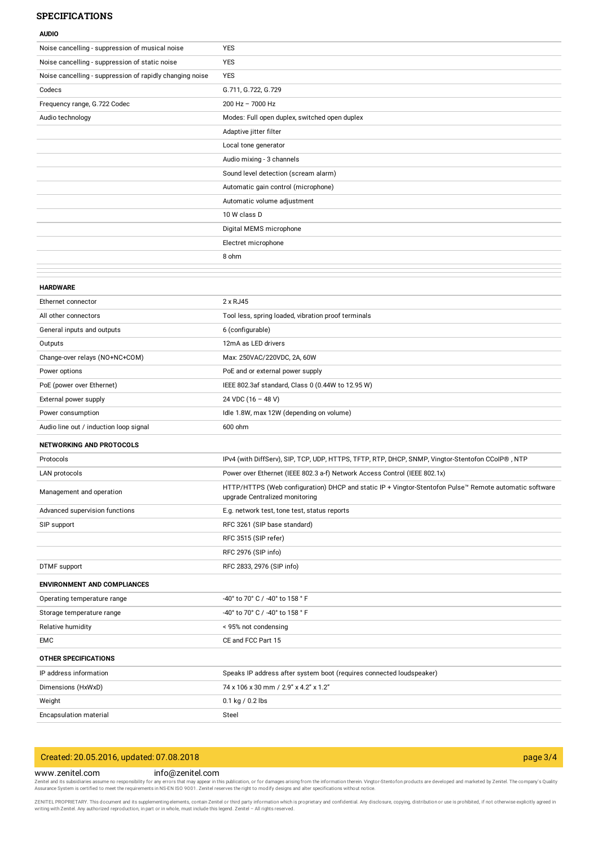### **SPECIFICATIONS**

| <b>AUDIO</b>                                             |                                                                                                                                          |
|----------------------------------------------------------|------------------------------------------------------------------------------------------------------------------------------------------|
| Noise cancelling - suppression of musical noise          | <b>YES</b>                                                                                                                               |
| Noise cancelling - suppression of static noise           | <b>YES</b>                                                                                                                               |
| Noise cancelling - suppression of rapidly changing noise | <b>YES</b>                                                                                                                               |
| Codecs                                                   | G.711, G.722, G.729                                                                                                                      |
| Frequency range, G.722 Codec                             | 200 Hz - 7000 Hz                                                                                                                         |
| Audio technology                                         | Modes: Full open duplex, switched open duplex                                                                                            |
|                                                          | Adaptive jitter filter                                                                                                                   |
|                                                          | Local tone generator                                                                                                                     |
|                                                          | Audio mixing - 3 channels                                                                                                                |
|                                                          | Sound level detection (scream alarm)                                                                                                     |
|                                                          | Automatic gain control (microphone)                                                                                                      |
|                                                          | Automatic volume adjustment                                                                                                              |
|                                                          | 10 W class D                                                                                                                             |
|                                                          | Digital MEMS microphone                                                                                                                  |
|                                                          | Electret microphone                                                                                                                      |
|                                                          | 8 ohm                                                                                                                                    |
|                                                          |                                                                                                                                          |
| <b>HARDWARE</b>                                          |                                                                                                                                          |
| Ethernet connector                                       | 2 x RJ45                                                                                                                                 |
| All other connectors                                     | Tool less, spring loaded, vibration proof terminals                                                                                      |
| General inputs and outputs                               | 6 (configurable)                                                                                                                         |
| Outputs                                                  | 12mA as LED drivers                                                                                                                      |
| Change-over relays (NO+NC+COM)                           | Max: 250VAC/220VDC, 2A, 60W                                                                                                              |
| Power options                                            | PoE and or external power supply                                                                                                         |
| PoE (power over Ethernet)                                | IEEE 802.3af standard, Class 0 (0.44W to 12.95 W)                                                                                        |
| External power supply                                    | 24 VDC (16 - 48 V)                                                                                                                       |
| Power consumption                                        | Idle 1.8W, max 12W (depending on volume)                                                                                                 |
| Audio line out / induction loop signal                   | 600 ohm                                                                                                                                  |
| <b>NETWORKING AND PROTOCOLS</b>                          |                                                                                                                                          |
| Protocols                                                | IPv4 (with DiffServ), SIP, TCP, UDP, HTTPS, TFTP, RTP, DHCP, SNMP, Vingtor-Stentofon CCoIP®, NTP                                         |
| LAN protocols                                            | Power over Ethernet (IEEE 802.3 a-f) Network Access Control (IEEE 802.1x)                                                                |
| Management and operation                                 | HTTP/HTTPS (Web configuration) DHCP and static IP + Vingtor-Stentofon Pulse™ Remote automatic software<br>upgrade Centralized monitoring |
| Advanced supervision functions                           | E.g. network test, tone test, status reports                                                                                             |
| SIP support                                              | RFC 3261 (SIP base standard)                                                                                                             |
|                                                          | RFC 3515 (SIP refer)                                                                                                                     |
|                                                          | RFC 2976 (SIP info)                                                                                                                      |
| DTMF support                                             | RFC 2833, 2976 (SIP info)                                                                                                                |
| <b>ENVIRONMENT AND COMPLIANCES</b>                       |                                                                                                                                          |
| Operating temperature range                              | -40° to 70° C / -40° to 158 ° F                                                                                                          |
| Storage temperature range                                | -40° to 70° C / -40° to 158 ° F                                                                                                          |
| Relative humidity                                        | < 95% not condensing                                                                                                                     |
| EMC                                                      | CE and FCC Part 15                                                                                                                       |
| <b>OTHER SPECIFICATIONS</b>                              |                                                                                                                                          |
| IP address information                                   | Speaks IP address after system boot (requires connected loudspeaker)                                                                     |
| Dimensions (HxWxD)                                       | 74 x 106 x 30 mm / 2.9" x 4.2" x 1.2"                                                                                                    |
| Weight                                                   | 0.1 kg / 0.2 lbs                                                                                                                         |
| Encapsulation material                                   | Steel                                                                                                                                    |

# Created: 20.05.2016, updated: 07.08.2018 page 3/4

www.zenitel.com info@zenitel.com

Zenitel and its subsidiaries assume no responsibility for any errors that may appear in this publication, or for damages arising from the information therein. Vingtor-Stentofon products are developed and marketed by Zenite